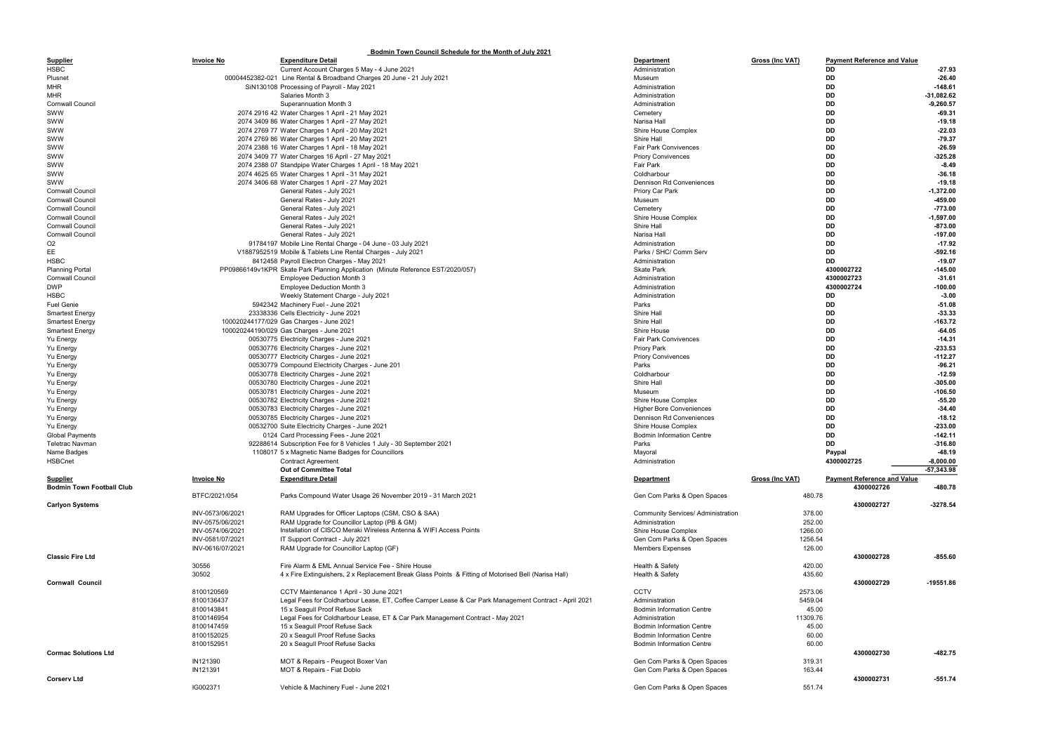|                                  |                   | Bodmin Town Council Schedule for the Month of July 2021                                               |                                           |                        |                                    |              |
|----------------------------------|-------------------|-------------------------------------------------------------------------------------------------------|-------------------------------------------|------------------------|------------------------------------|--------------|
| <b>Supplier</b>                  | <b>Invoice No</b> | <b>Expenditure Detail</b>                                                                             | <b>Department</b>                         | Gross (Inc VAT)        | <b>Payment Reference and Value</b> |              |
| <b>HSBC</b>                      |                   | Current Account Charges 5 May - 4 June 2021                                                           | Administration                            |                        | DD                                 | $-27.93$     |
| Plusnet                          |                   | 00004452382-021 Line Rental & Broadband Charges 20 June - 21 July 2021                                | Museum                                    |                        | DD                                 | $-26.40$     |
| <b>MHR</b>                       |                   | SiN130108 Processing of Payroll - May 2021                                                            | Administration                            |                        | DD                                 | $-148.61$    |
| <b>MHR</b>                       |                   | Salaries Month 3                                                                                      | Administration                            |                        | DD                                 | -31,082.62   |
| <b>Cornwall Council</b>          |                   | Superannuation Month 3                                                                                | Administration                            |                        | DD                                 | $-9,260.57$  |
| SWW                              |                   | 2074 2916 42 Water Charges 1 April - 21 May 2021                                                      | Cemetery                                  |                        | DD                                 | $-69.31$     |
| SWW                              |                   | 2074 3409 86 Water Charges 1 April - 27 May 2021                                                      | Narisa Hall                               |                        | DD                                 | $-19.18$     |
| SWW                              |                   | 2074 2769 77 Water Charges 1 April - 20 May 2021                                                      | Shire House Complex                       |                        | DD                                 | -22.03       |
| SWW                              |                   | 2074 2769 86 Water Charges 1 April - 20 May 2021                                                      | Shire Hall                                |                        | DD                                 | $-79.37$     |
| SWW                              |                   | 2074 2388 16 Water Charges 1 April - 18 May 2021                                                      | <b>Fair Park Convivences</b>              |                        | DD                                 | $-26.59$     |
| SWW                              |                   | 2074 3409 77 Water Charges 16 April - 27 May 2021                                                     | <b>Priory Convivences</b>                 |                        | DD                                 | $-325.28$    |
| SWW                              |                   | 2074 2388 07 Standpipe Water Charges 1 April - 18 May 2021                                            | Fair Park                                 |                        | DD                                 | $-8.49$      |
| SWW                              |                   | 2074 4625 65 Water Charges 1 April - 31 May 2021                                                      | Coldharbour                               |                        | DD                                 | $-36.18$     |
| SWW                              |                   | 2074 3406 68 Water Charges 1 April - 27 May 2021                                                      | Dennison Rd Conveniences                  |                        | DD                                 | $-19.18$     |
| <b>Cornwall Council</b>          |                   | General Rates - July 2021                                                                             | Priory Car Park                           |                        | DD                                 | $-1,372.00$  |
| <b>Cornwall Council</b>          |                   | General Rates - July 2021                                                                             | Museum                                    |                        | DD                                 | -459.00      |
| <b>Cornwall Council</b>          |                   | General Rates - July 2021                                                                             | Cemetery                                  |                        | DD                                 | $-773.00$    |
| <b>Cornwall Council</b>          |                   | General Rates - July 2021                                                                             | Shire House Complex                       |                        | DD                                 | $-1,597.00$  |
| <b>Cornwall Council</b>          |                   | General Rates - July 2021                                                                             | Shire Hall                                |                        | DD                                 | $-873.00$    |
| <b>Cornwall Council</b>          |                   | General Rates - July 2021                                                                             | Narisa Hall                               |                        | DD                                 | $-197.00$    |
| O <sub>2</sub>                   |                   | 91784197 Mobile Line Rental Charge - 04 June - 03 July 2021                                           | Administration                            |                        | DD                                 | $-17.92$     |
| EE                               |                   | V1887952519 Mobile & Tablets Line Rental Charges - July 2021                                          | Parks / SHC/ Comm Serv                    |                        | DD                                 | $-592.16$    |
| <b>HSBC</b>                      |                   | 8412458 Payroll Electron Charges - May 2021                                                           | Administration                            |                        | DD                                 | $-19.07$     |
| <b>Planning Portal</b>           |                   | PP09866149v1KPR Skate Park Planning Application (Minute Reference EST/2020/057)                       | <b>Skate Park</b>                         |                        | 4300002722                         | $-145.00$    |
| <b>Cornwall Council</b>          |                   | <b>Employee Deduction Month 3</b>                                                                     | Administration                            |                        | 4300002723                         | $-31.61$     |
| <b>DWP</b>                       |                   | <b>Employee Deduction Month 3</b>                                                                     | Administration                            |                        | 4300002724                         | $-100.00$    |
| <b>HSBC</b>                      |                   | Weekly Statement Charge - July 2021                                                                   | Administration                            |                        | DD                                 | $-3.00$      |
| <b>Fuel Genie</b>                |                   | 5942342 Machinery Fuel - June 2021                                                                    | Parks                                     |                        | DD                                 | -51.08       |
| <b>Smartest Energy</b>           |                   | 23338336 Cells Electricity - June 2021                                                                | Shire Hall                                |                        | DD                                 | $-33.33$     |
| <b>Smartest Energy</b>           |                   | 100020244177/029 Gas Charges - June 2021                                                              | Shire Hall                                |                        | DD                                 | $-163.72$    |
| <b>Smartest Energy</b>           |                   | 100020244190/029 Gas Charges - June 2021                                                              | Shire House                               |                        | DD                                 | -64.05       |
| Yu Energy                        |                   | 00530775 Electricity Charges - June 2021                                                              | <b>Fair Park Convivences</b>              |                        | DD                                 | $-14.31$     |
| Yu Energy                        |                   | 00530776 Electricity Charges - June 2021                                                              | <b>Priory Park</b>                        |                        | DD                                 | $-233.53$    |
| Yu Energy                        |                   | 00530777 Electricity Charges - June 2021                                                              | <b>Priory Convivences</b>                 |                        | DD                                 | $-112.27$    |
| Yu Energy                        |                   | 00530779 Compound Electricity Charges - June 201                                                      | Parks                                     |                        | DD                                 | $-96.21$     |
| Yu Energy                        |                   | 00530778 Electricity Charges - June 2021                                                              | Coldharbour                               |                        | DD                                 | $-12.59$     |
| Yu Energy                        |                   | 00530780 Electricity Charges - June 2021                                                              | Shire Hall                                |                        | DD                                 | $-305.00$    |
| <b>Yu Energy</b>                 |                   | 00530781 Electricity Charges - June 2021                                                              | Museum                                    |                        | DD                                 | $-106.50$    |
| Yu Energy                        |                   | 00530782 Electricity Charges - June 2021                                                              | Shire House Complex                       |                        | DD                                 | $-55.20$     |
| Yu Energy                        |                   | 00530783 Electricity Charges - June 2021                                                              | <b>Higher Bore Conveniences</b>           |                        | DD                                 | $-34.40$     |
| Yu Energy                        |                   | 00530785 Electricity Charges - June 2021                                                              | Dennison Rd Conveniences                  |                        | DD                                 | $-18.12$     |
| Yu Energy                        |                   | 00532700 Suite Electricity Charges - June 2021                                                        | Shire House Complex                       |                        | DD                                 | $-233.00$    |
| <b>Global Payments</b>           |                   | 0124 Card Processing Fees - June 2021                                                                 | <b>Bodmin Information Centre</b>          |                        | DD                                 | $-142.11$    |
| Teletrac Navman                  |                   | 92288614 Subscription Fee for 8 Vehicles 1 July - 30 September 2021                                   | Parks                                     |                        | DD                                 | $-316.80$    |
| Name Badges                      |                   | 1108017 5 x Magnetic Name Badges for Councillors                                                      | Mayoral                                   |                        | Paypal                             | -48.19       |
| <b>HSBCnet</b>                   |                   | <b>Contract Agreement</b>                                                                             | Administration                            |                        | 4300002725                         | $-8,000.00$  |
|                                  |                   | Out of Committee Total                                                                                |                                           |                        |                                    | $-57,343.98$ |
| <b>Supplier</b>                  | <b>Invoice No</b> | <b>Expenditure Detail</b>                                                                             | <b>Department</b>                         | <b>Gross (Inc VAT)</b> | <b>Payment Reference and Value</b> |              |
| <b>Bodmin Town Football Club</b> |                   |                                                                                                       |                                           |                        | 4300002726                         | -480.78      |
|                                  | BTFC/2021/054     | Parks Compound Water Usage 26 November 2019 - 31 March 2021                                           | Gen Com Parks & Open Spaces               | 480.78                 |                                    |              |
| <b>Carlyon Systems</b>           |                   |                                                                                                       |                                           |                        | 4300002727                         | $-3278.54$   |
|                                  | INV-0573/06/2021  | RAM Upgrades for Officer Laptops (CSM, CSO & SAA)                                                     | <b>Community Services/ Administration</b> | 378.00                 |                                    |              |
|                                  | INV-0575/06/2021  | RAM Upgrade for Councillor Laptop (PB & GM)                                                           | Administration                            | 252.00                 |                                    |              |
|                                  | INV-0574/06/2021  | Installation of CISCO Meraki Wireless Antenna & WIFI Access Points                                    | Shire House Complex                       | 1266.00                |                                    |              |
|                                  | INV-0581/07/2021  | IT Support Contract - July 2021                                                                       | Gen Com Parks & Open Spaces               | 1256.54                |                                    |              |
|                                  | INV-0616/07/2021  | RAM Upgrade for Councillor Laptop (GF)                                                                | <b>Members Expenses</b>                   | 126.00                 |                                    |              |
| <b>Classic Fire Ltd</b>          |                   |                                                                                                       |                                           |                        | 4300002728                         | $-855.60$    |
|                                  | 30556             | Fire Alarm & EML Annual Service Fee - Shire House                                                     | Health & Safety                           | 420.00                 |                                    |              |
|                                  | 30502             | 4 x Fire Extinguishers, 2 x Replacement Break Glass Points & Fitting of Motorised Bell (Narisa Hall)  | Health & Safety                           | 435.60                 |                                    |              |
| <b>Cornwall Council</b>          |                   |                                                                                                       |                                           |                        | 4300002729                         | -19551.86    |
|                                  | 8100120569        | CCTV Maintenance 1 April - 30 June 2021                                                               | <b>CCTV</b>                               | 2573.06                |                                    |              |
|                                  | 8100136437        | Legal Fees for Coldharbour Lease, ET, Coffee Camper Lease & Car Park Management Contract - April 2021 | Administration                            | 5459.04                |                                    |              |
|                                  | 8100143841        | 15 x Seagull Proof Refuse Sack                                                                        | <b>Bodmin Information Centre</b>          | 45.00                  |                                    |              |
|                                  | 8100146954        | Legal Fees for Coldharbour Lease, ET & Car Park Management Contract - May 2021                        | Administration                            | 11309.76               |                                    |              |
|                                  | 8100147459        | 15 x Seagull Proof Refuse Sack                                                                        | <b>Bodmin Information Centre</b>          | 45.00                  |                                    |              |
|                                  | 8100152025        | 20 x Seagull Proof Refuse Sacks                                                                       | <b>Bodmin Information Centre</b>          | 60.00                  |                                    |              |
|                                  | 8100152951        | 20 x Seagull Proof Refuse Sacks                                                                       | <b>Bodmin Information Centre</b>          | 60.00                  |                                    |              |
| <b>Cormac Solutions Ltd</b>      |                   |                                                                                                       |                                           |                        | 4300002730                         | $-482.75$    |
|                                  | IN121390          | MOT & Repairs - Peugeot Boxer Van                                                                     | Gen Com Parks & Open Spaces               | 319.31                 |                                    |              |
|                                  | IN121391          | MOT & Repairs - Fiat Doblo                                                                            | Gen Com Parks & Open Spaces               | 163.44                 |                                    |              |
| <b>Corserv Ltd</b>               |                   |                                                                                                       |                                           |                        | 4300002731                         | $-551.74$    |

IG002371 Vehicle & Machinery Fuel - June 2021 Center States of the Comment of Comment Comment of Comment Comment Comment Comment Comment Comment Comment Comment Comment Comment Comment Comment Comment Comment Comment Comme

|         | <b>Payment Reference and Value</b> |            |              |
|---------|------------------------------------|------------|--------------|
|         | DD                                 |            | -27.93       |
|         | DD                                 |            | $-26.40$     |
|         | DD                                 |            | $-148.61$    |
|         | DD                                 |            | $-31,082.62$ |
|         | DD                                 |            | $-9,260.57$  |
|         | DD                                 |            | $-69.31$     |
|         | DD                                 |            | $-19.18$     |
|         | DD                                 |            | -22.03       |
|         | DD                                 |            | $-79.37$     |
|         |                                    |            |              |
|         | DD                                 |            | $-26.59$     |
|         | DD                                 |            | $-325.28$    |
|         | DD                                 |            | -8.49        |
|         | DD                                 |            | $-36.18$     |
|         | DD                                 |            | $-19.18$     |
|         | DD                                 |            | -1,372.00    |
|         | DD                                 |            | -459.00      |
|         | DD                                 |            | $-773.00$    |
|         | DD                                 |            | $-1,597.00$  |
|         | DD                                 |            | $-873.00$    |
|         | DD                                 |            | -197.00      |
|         |                                    |            |              |
|         | DD                                 |            | -17.92       |
|         | DD                                 |            | $-592.16$    |
|         | DD                                 |            | $-19.07$     |
|         | 4300002722                         |            | -145.00      |
|         | 4300002723                         |            | -31.61       |
|         | 4300002724                         |            | $-100.00$    |
|         | DD                                 |            | $-3.00$      |
|         | DD                                 |            | $-51.08$     |
|         | DD                                 |            | $-33.33$     |
|         | DD                                 |            | $-163.72$    |
|         |                                    |            |              |
|         | DD                                 |            | -64.05       |
|         | DD                                 |            | $-14.31$     |
|         | DD                                 |            | $-233.53$    |
|         | DD                                 |            | $-112.27$    |
|         | DD                                 |            | -96.21       |
|         | DD                                 |            | $-12.59$     |
|         | DD                                 |            | $-305.00$    |
|         | DD                                 |            | $-106.50$    |
|         | DD                                 |            | $-55.20$     |
|         | DD                                 |            | $-34.40$     |
|         |                                    |            |              |
|         | DD                                 |            | -18.12       |
|         | DD                                 |            | $-233.00$    |
|         | DD                                 |            | -142.11      |
|         | DD                                 |            | $-316.80$    |
|         | Paypal                             |            | $-48.19$     |
|         | 4300002725                         |            | $-8,000.00$  |
|         |                                    |            | $-57,343.98$ |
|         | <b>Payment Reference and Value</b> |            |              |
|         |                                    | 4300002726 | -480.78      |
|         |                                    |            |              |
| 480.78  |                                    |            |              |
|         |                                    | 4300002727 | $-3278.54$   |
| 378.00  |                                    |            |              |
| 252.00  |                                    |            |              |
| 1266.00 |                                    |            |              |
| 1256.54 |                                    |            |              |
| 126.00  |                                    |            |              |
|         |                                    | 4300002728 | $-855.60$    |
| 420.00  |                                    |            |              |
| 435.60  |                                    |            |              |
|         |                                    |            |              |
|         |                                    | 4300002729 | -19551.86    |
| 2573.06 |                                    |            |              |
| 5459.04 |                                    |            |              |
| 45.00   |                                    |            |              |
| 1309.76 |                                    |            |              |
| 45.00   |                                    |            |              |
| 60.00   |                                    |            |              |
| 60.00   |                                    |            |              |
|         |                                    | 4300002730 | $-482.75$    |
| 319.31  |                                    |            |              |
|         |                                    |            |              |
| 163.44  |                                    |            |              |
|         |                                    | 4300002731 | $-551.74$    |